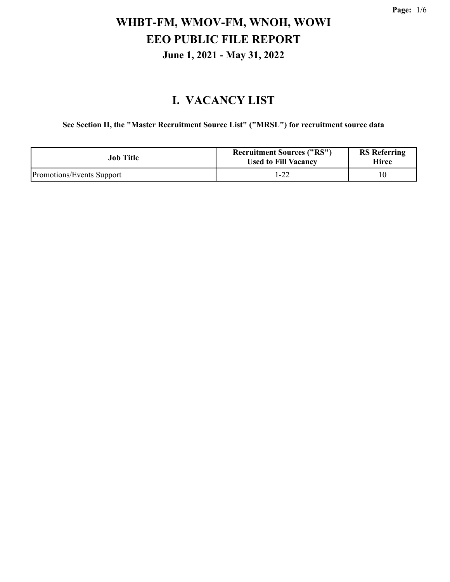#### **I. VACANCY LIST**

**See Section II, the "Master Recruitment Source List" ("MRSL") for recruitment source data**

| <b>Job Title</b>          | <b>Recruitment Sources ("RS")</b><br><b>Used to Fill Vacancy</b> | <b>RS</b> Referring<br>Hiree |
|---------------------------|------------------------------------------------------------------|------------------------------|
| Promotions/Events Support | 1-22                                                             |                              |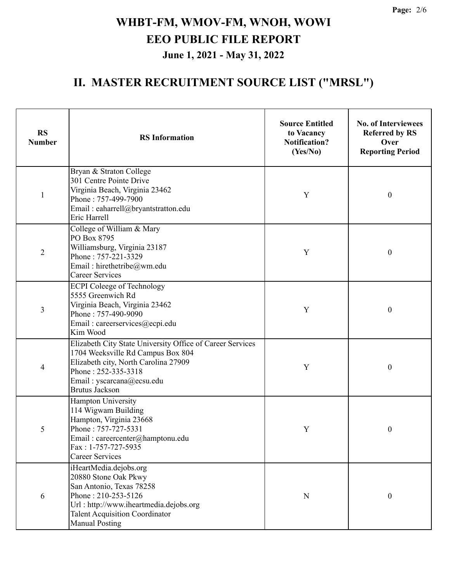| <b>RS</b><br><b>Number</b> | <b>RS</b> Information                                                                                                                                                                                               | <b>Source Entitled</b><br>to Vacancy<br><b>Notification?</b><br>(Yes/No) | <b>No. of Interviewees</b><br><b>Referred by RS</b><br>Over<br><b>Reporting Period</b> |
|----------------------------|---------------------------------------------------------------------------------------------------------------------------------------------------------------------------------------------------------------------|--------------------------------------------------------------------------|----------------------------------------------------------------------------------------|
| $\mathbf{1}$               | Bryan & Straton College<br>301 Centre Pointe Drive<br>Virginia Beach, Virginia 23462<br>Phone: 757-499-7900<br>Email: eaharrell@bryantstratton.edu<br>Eric Harrell                                                  | Y                                                                        | $\boldsymbol{0}$                                                                       |
| $\overline{2}$             | College of William & Mary<br>PO Box 8795<br>Williamsburg, Virginia 23187<br>Phone: 757-221-3329<br>Email: hirethetribe@wm.edu<br><b>Career Services</b>                                                             | Y                                                                        | $\boldsymbol{0}$                                                                       |
| 3                          | <b>ECPI</b> Coleege of Technology<br>5555 Greenwich Rd<br>Virginia Beach, Virginia 23462<br>Phone: 757-490-9090<br>Email: careerservices@ecpi.edu<br>Kim Wood                                                       | Y                                                                        | $\boldsymbol{0}$                                                                       |
| $\overline{4}$             | Elizabeth City State University Office of Career Services<br>1704 Weeksville Rd Campus Box 804<br>Elizabeth city, North Carolina 27909<br>Phone: 252-335-3318<br>Email: yscarcana@ecsu.edu<br><b>Brutus Jackson</b> | Y                                                                        | $\boldsymbol{0}$                                                                       |
| 5                          | Hampton University<br>114 Wigwam Building<br>Hampton, Virginia 23668<br>Phone: 757-727-5331<br>Email: careercenter@hamptonu.edu<br>Fax: 1-757-727-5935<br><b>Career Services</b>                                    | Y                                                                        | 0                                                                                      |
| 6                          | iHeartMedia.dejobs.org<br>20880 Stone Oak Pkwy<br>San Antonio, Texas 78258<br>Phone: 210-253-5126<br>Url: http://www.iheartmedia.dejobs.org<br><b>Talent Acquisition Coordinator</b><br><b>Manual Posting</b>       | ${\bf N}$                                                                | $\boldsymbol{0}$                                                                       |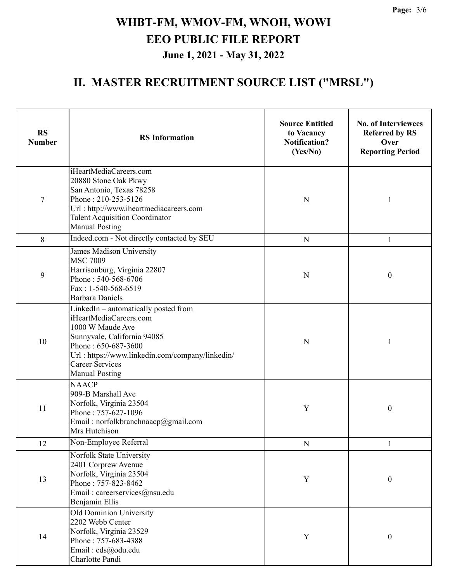| <b>RS</b><br><b>Number</b> | <b>RS</b> Information                                                                                                                                                                                                                          | <b>Source Entitled</b><br>to Vacancy<br><b>Notification?</b><br>(Yes/No) | <b>No. of Interviewees</b><br><b>Referred by RS</b><br>Over<br><b>Reporting Period</b> |
|----------------------------|------------------------------------------------------------------------------------------------------------------------------------------------------------------------------------------------------------------------------------------------|--------------------------------------------------------------------------|----------------------------------------------------------------------------------------|
| $\overline{7}$             | iHeartMediaCareers.com<br>20880 Stone Oak Pkwy<br>San Antonio, Texas 78258<br>Phone: 210-253-5126<br>Url: http://www.iheartmediacareers.com<br><b>Talent Acquisition Coordinator</b><br><b>Manual Posting</b>                                  | N                                                                        | 1                                                                                      |
| 8                          | Indeed.com - Not directly contacted by SEU                                                                                                                                                                                                     | ${\bf N}$                                                                | $\mathbf{1}$                                                                           |
| 9                          | James Madison University<br><b>MSC 7009</b><br>Harrisonburg, Virginia 22807<br>Phone: 540-568-6706<br>Fax: 1-540-568-6519<br><b>Barbara Daniels</b>                                                                                            | $\mathbf N$                                                              | $\boldsymbol{0}$                                                                       |
| 10                         | LinkedIn - automatically posted from<br>iHeartMediaCareers.com<br>1000 W Maude Ave<br>Sunnyvale, California 94085<br>Phone: 650-687-3600<br>Url: https://www.linkedin.com/company/linkedin/<br><b>Career Services</b><br><b>Manual Posting</b> | $\mathbf N$                                                              | 1                                                                                      |
| 11                         | <b>NAACP</b><br>909-B Marshall Ave<br>Norfolk, Virginia 23504<br>Phone: 757-627-1096<br>Email: norfolkbranchnaacp@gmail.com<br>Mrs Hutchison                                                                                                   | Y                                                                        | $\boldsymbol{0}$                                                                       |
| 12                         | Non-Employee Referral                                                                                                                                                                                                                          | ${\bf N}$                                                                | 1                                                                                      |
| 13                         | Norfolk State University<br>2401 Corprew Avenue<br>Norfolk, Virginia 23504<br>Phone: 757-823-8462<br>Email: careerservices@nsu.edu<br>Benjamin Ellis                                                                                           | Y                                                                        | $\boldsymbol{0}$                                                                       |
| 14                         | Old Dominion University<br>2202 Webb Center<br>Norfolk, Virginia 23529<br>Phone: 757-683-4388<br>Email: cds@odu.edu<br>Charlotte Pandi                                                                                                         | Y                                                                        | $\boldsymbol{0}$                                                                       |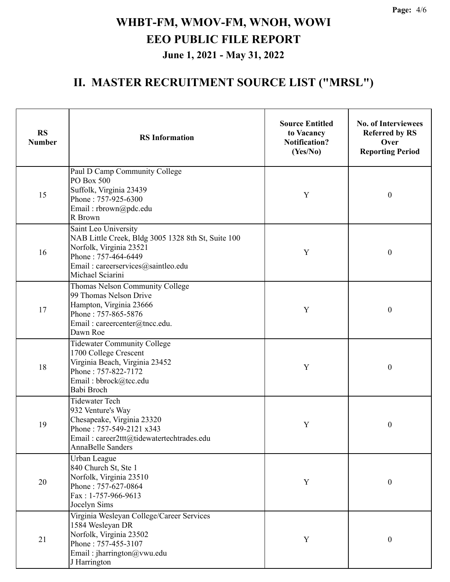| <b>RS</b><br><b>Number</b> | <b>RS</b> Information                                                                                                                                                                       | <b>Source Entitled</b><br>to Vacancy<br><b>Notification?</b><br>(Yes/No) | <b>No. of Interviewees</b><br><b>Referred by RS</b><br>Over<br><b>Reporting Period</b> |
|----------------------------|---------------------------------------------------------------------------------------------------------------------------------------------------------------------------------------------|--------------------------------------------------------------------------|----------------------------------------------------------------------------------------|
| 15                         | Paul D Camp Community College<br>PO Box 500<br>Suffolk, Virginia 23439<br>$\mathbf Y$<br>Phone: 757-925-6300<br>Email: rbrown@pdc.edu<br>R Brown                                            |                                                                          | $\boldsymbol{0}$                                                                       |
| 16                         | Saint Leo University<br>NAB Little Creek, Bldg 3005 1328 8th St, Suite 100<br>Norfolk, Virginia 23521<br>Y<br>Phone: 757-464-6449<br>Email: careerservices@saintleo.edu<br>Michael Sciarini |                                                                          | $\boldsymbol{0}$                                                                       |
| 17                         | Thomas Nelson Community College<br>99 Thomas Nelson Drive<br>Hampton, Virginia 23666<br>Phone: 757-865-5876<br>Email: careercenter@tncc.edu.<br>Dawn Roe                                    | Y                                                                        | $\boldsymbol{0}$                                                                       |
| 18                         | <b>Tidewater Community College</b><br>1700 College Crescent<br>Virginia Beach, Virginia 23452<br>Y<br>Phone: 757-822-7172<br>Email: bbrock@tcc.edu<br>Babi Broch                            |                                                                          | $\boldsymbol{0}$                                                                       |
| 19                         | <b>Tidewater Tech</b><br>932 Venture's Way<br>Chesapeake, Virginia 23320<br>Phone: 757-549-2121 x343<br>Email: career2ttt@tidewatertechtrades.edu<br>AnnaBelle Sanders                      | Y                                                                        | $\boldsymbol{0}$                                                                       |
| 20                         | Urban League<br>840 Church St, Ste 1<br>Norfolk, Virginia 23510<br>Phone: 757-627-0864<br>Fax: 1-757-966-9613<br>Jocelyn Sims                                                               | Y                                                                        | $\boldsymbol{0}$                                                                       |
| 21                         | Virginia Wesleyan College/Career Services<br>1584 Wesleyan DR<br>Norfolk, Virginia 23502<br>Phone: 757-455-3107<br>Email: jharrington@vwu.edu<br>J Harrington                               | Y                                                                        | $\boldsymbol{0}$                                                                       |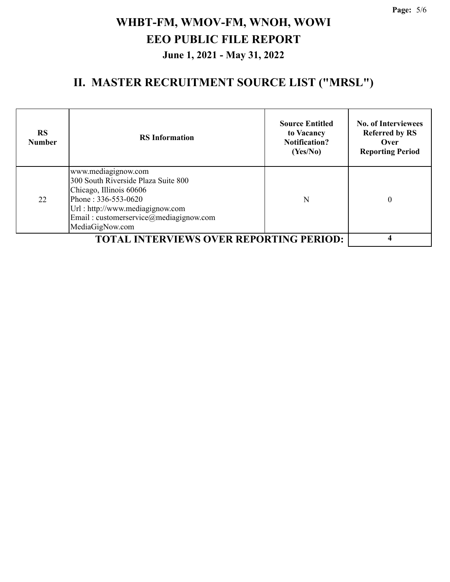| <b>RS</b><br><b>Number</b>                     | <b>RS</b> Information                                                                                                                                                                                        | <b>Source Entitled</b><br>to Vacancy<br><b>Notification?</b><br>(Yes/No) | <b>No. of Interviewees</b><br><b>Referred by RS</b><br>Over<br><b>Reporting Period</b> |
|------------------------------------------------|--------------------------------------------------------------------------------------------------------------------------------------------------------------------------------------------------------------|--------------------------------------------------------------------------|----------------------------------------------------------------------------------------|
| 22                                             | www.mediagignow.com<br>300 South Riverside Plaza Suite 800<br>Chicago, Illinois 60606<br>Phone: 336-553-0620<br>Url: http://www.mediagignow.com<br>Email: customerservice@mediagignow.com<br>MediaGigNow.com | N                                                                        | 0                                                                                      |
| <b>TOTAL INTERVIEWS OVER REPORTING PERIOD:</b> |                                                                                                                                                                                                              |                                                                          |                                                                                        |